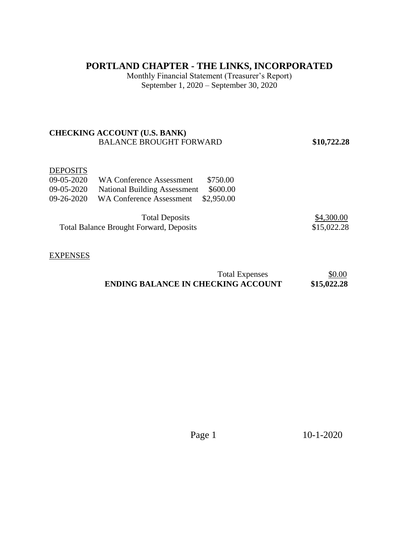# **PORTLAND CHAPTER - THE LINKS, INCORPORATED**

Monthly Financial Statement (Treasurer's Report) September 1, 2020 – September 30, 2020

### **CHECKING ACCOUNT (U.S. BANK)**  BALANCE BROUGHT FORWARD **\$10,722.28**

#### **DEPOSITS**

|            | 09-05-2020 WA Conference Assessment            | \$750.00   |             |
|------------|------------------------------------------------|------------|-------------|
| 09-05-2020 | <b>National Building Assessment</b>            | \$600.00   |             |
| 09-26-2020 | <b>WA Conference Assessment</b>                | \$2,950.00 |             |
|            | <b>Total Deposits</b>                          |            | \$4,300.00  |
|            | <b>Total Balance Brought Forward, Deposits</b> |            | \$15,022.28 |

#### **EXPENSES**

| Total Expenses<br>and the contract of the contract of the contract of the contract of the contract of the contract of the contract of the contract of the contract of the contract of the contract of the contract of the contract of the contra | \$0.00      |
|--------------------------------------------------------------------------------------------------------------------------------------------------------------------------------------------------------------------------------------------------|-------------|
| <b>ENDING BALANCE IN CHECKING ACCOUNT</b>                                                                                                                                                                                                        | \$15,022.28 |

Page 1 10-1-2020